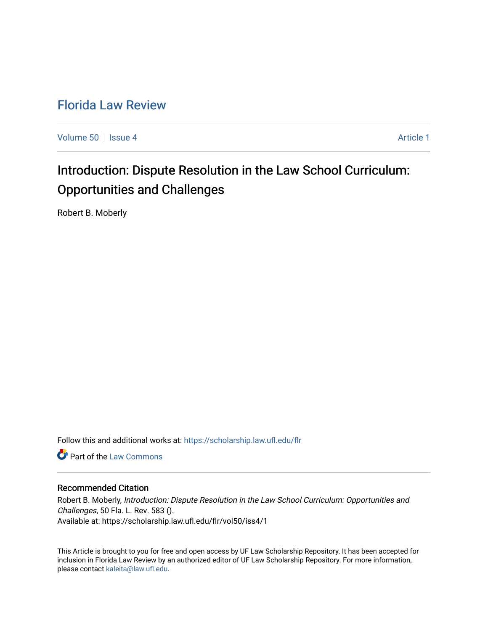## [Florida Law Review](https://scholarship.law.ufl.edu/flr)

[Volume 50](https://scholarship.law.ufl.edu/flr/vol50) | [Issue 4](https://scholarship.law.ufl.edu/flr/vol50/iss4) Article 1

# Introduction: Dispute Resolution in the Law School Curriculum: Opportunities and Challenges

Robert B. Moberly

Follow this and additional works at: [https://scholarship.law.ufl.edu/flr](https://scholarship.law.ufl.edu/flr?utm_source=scholarship.law.ufl.edu%2Fflr%2Fvol50%2Fiss4%2F1&utm_medium=PDF&utm_campaign=PDFCoverPages)

**C** Part of the [Law Commons](http://network.bepress.com/hgg/discipline/578?utm_source=scholarship.law.ufl.edu%2Fflr%2Fvol50%2Fiss4%2F1&utm_medium=PDF&utm_campaign=PDFCoverPages)

## Recommended Citation

Robert B. Moberly, Introduction: Dispute Resolution in the Law School Curriculum: Opportunities and Challenges, 50 Fla. L. Rev. 583 (). Available at: https://scholarship.law.ufl.edu/flr/vol50/iss4/1

This Article is brought to you for free and open access by UF Law Scholarship Repository. It has been accepted for inclusion in Florida Law Review by an authorized editor of UF Law Scholarship Repository. For more information, please contact [kaleita@law.ufl.edu](mailto:kaleita@law.ufl.edu).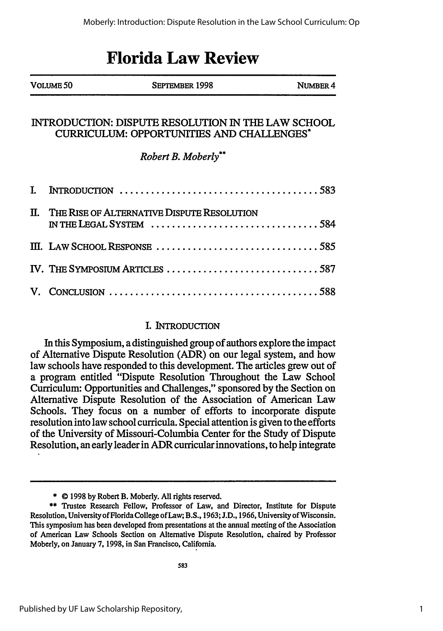## **Florida Law Review**

|    | VOLUME 50 | SEPTEMBER 1998                                                                                         | NUMBER 4 |
|----|-----------|--------------------------------------------------------------------------------------------------------|----------|
|    |           | INTRODUCTION: DISPUTE RESOLUTION IN THE LAW SCHOOL<br><b>CURRICULUM: OPPORTUNITIES AND CHALLENGES*</b> |          |
|    |           | Robert B. Moberly**                                                                                    |          |
| L. |           |                                                                                                        |          |
|    |           | II. THE RISE OF ALTERNATIVE DISPUTE RESOLUTION<br>IN THE LEGAL SYSTEM 584                              |          |
|    |           |                                                                                                        |          |
|    |           | IV. THE SYMPOSIUM ARTICLES 587                                                                         |          |
|    |           |                                                                                                        |          |

## I. INTRODUCTION

In this Symposium, a distinguished group of authors explore the impact of Alternative Dispute Resolution (ADR) on our legal system, and how law schools have responded to this development. The articles grew out of a program entitled "Dispute Resolution Throughout the Law School Curriculum: Opportunities and Challenges," sponsored **by** the Section on Alternative Dispute Resolution of the Association of American Law Schools. They focus on a number of efforts to incorporate dispute resolution into law school curricula. Special attention is given to the efforts of the University of Missouri-Columbia Center for the Study of Dispute Resolution, an early leader in ADR curricular innovations, to help integrate

<sup>\*</sup> **0** 1998 by Robert B. Moberly. All rights reserved.

<sup>\*\*</sup> Trustee Research Fellow, Professor of Law, and Director, Institute for Dispute Resolution, University of Florida College of Law; B.S., 1963; J.D., 1966, University of Wisconsin. This symposium has been developed from presentations at the annual meeting of the Association of American Law Schools Section on Alternative Dispute Resolution, chaired by Professor Moberly, on January 7, 1998, in San Francisco, California.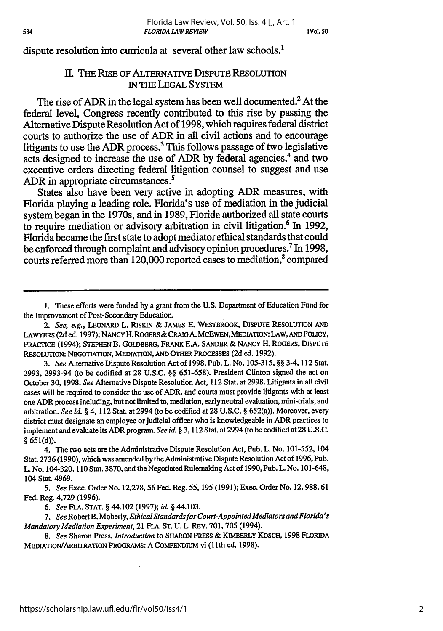dispute resolution into curricula at several other law schools.<sup>1</sup>

### I. THE RISE OF ALTERNATIVE DISPUTE RESOLUTION IN **THE LEGAL** SYSTEM

The rise of ADR in the legal system has been well documented.<sup>2</sup> At the federal level, Congress recently contributed to this rise **by** passing the Alternative Dispute Resolution Act of **1998,** which requires federal district courts to authorize the use of ADR in all civil actions and to encourage litigants to use the ADR process.<sup>3</sup> This follows passage of two legislative acts designed to increase the use of *ADR* **by** federal agencies,4 and two executive orders directing federal litigation counsel to suggest and use ADR in appropriate circumstances.<sup>5</sup>

States also have been very active in adopting ADR measures, with Florida playing a leading role. Florida's use of mediation in the judicial system began in the 1970s, and in **1989,** Florida authorized all state courts to require mediation or advisory arbitration in civil litigation.6 In **1992,** Florida became the first state to adopt mediator ethical standards that could be enforced through complaint and advisory opinion procedures.7 In **1998,** courts referred more than 120,000 reported cases to mediation.<sup>8</sup> compared

**1.** These efforts were funded **by** a grant from the **U.S.** Department of Education Fund for the Improvement of Post-Secondary Education.

*2. See, e.g.,* LEONARD L. RISKIN & **JAMES E.** WESTBROOK, DISPUTE RESOLUTION **AND LAWYERS** (2d ed. 1997); **NANCY** H. ROGERS & CRAIG A. MCEWEN, MEDIATION: LAW, **AND POLCY, PRACTICE** (1994); **STEPHEN** B. **GOLDBERG,** FRANK **E.A.** SANDER & **NANCY** H. **ROGERS, DISPUTE RESOLUTION: NEGOTIATION,** MEDIATION, **AND** OTHER PROCESSES (2d ed. 1992).

*3. See* Alternative Dispute Resolution Act of 1998, Pub. L. No. 105-315, **§§** 3-4, 112 Stat. 2993, 2993-94 (to be codified at 28 U.S.C. **§§** 651-658). President Clinton signed the act on October 30, 1998. *See* Alternative Dispute Resolution Act, 112 Stat. at 2998. Litigants in all civil cases will be required to consider the use of ADR, and courts must provide litigants with at least one ADR process including, but not limited to, mediation, early neutral evaluation, mini-trials, and arbitration. *See id.* § 4, 112 Stat. at 2994 (to be codified at 28 U.S.C. § 652(a)). Moreover, every district must designate an employee or judicial officer who is knowledgeable in ADR practices to implement and evaluate its ADR program. *See id.* § 3, 112 Stat. at 2994 (to be codified at 28 U.S.C. § **651(d)).**

4. The two acts are the Administrative Dispute Resolution Act, Pub. L. No. 101-552, 104 Stat. 2736 (1990), which was amended by the Administrative Dispute Resolution Act of 1996, Pub. L. No. 104-320, 110 Stat. 3870, and the Negotiated Rulemaking Act of 1990, Pub. L. No. 101-648, 104 Stat. 4969.

*5. See* Exec. Order No. 12,278, 56 Fed. Reg. 55, 195 (1991); Exec. Order No. 12, 988, 61 Fed. Reg. 4,729 (1996).

*6. See* FLA. **STAT.** § 44.102 (1997); *id.* § 44.103.

7. See Robert B. Moberly, *Ethical Standards for Court-Appointed Mediators and Florida's Mandatory Mediation Experiment,* 21 FLA. **ST.** U. L. REV. 701,705 (1994).

*8. See* Sharon Press, *Introduction* to **SHARON** PRESS & KIMBERLY KOSCH, 1998 FLORIDA MEDIATION/ARBITRATION PROGRAMS: A COMPENDIUM vi **(1** th ed. 1998).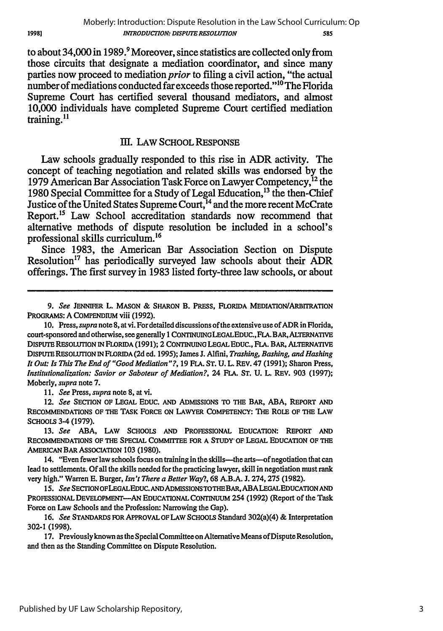Published by UF Law Scholarship Repository,

to about 34,000 in **1989.9** Moreover, since statistics are collected only from those circuits that designate a mediation coordinator, and since many parties now proceed to mediation *prior* to filing a civil action, "the actual number of mediations conducted far exceeds those reported."<sup>10</sup> The Florida Supreme Court has certified several thousand mediators, and almost **10,000** individuals have completed Supreme Court certified mediation training.<sup>11</sup>

### Ill. LAW SCHOOL RESPONSE

Law schools gradually responded to this rise in ADR activity. The concept of teaching negotiation and related skills was endorsed **by** the **1979** American Bar Association Task Force on Lawyer Competency, 12 the 1980 Special Committee for a Study of Legal Education,<sup>13</sup> the then-Chief Justice of the United States Supreme Court,<sup>14</sup> and the more recent McCrate Report.<sup>15</sup> Law School accreditation standards now recommend that alternative methods of dispute resolution be included in a school's professional skills curriculum.<sup>16</sup>

Since **1983,** the American Bar Association Section on Dispute Resolution<sup>17</sup> has periodically surveyed law schools about their  $\widehat{A}DR$ offerings. The first survey in **1983** listed forty-three law schools, or about

*11. See* Press, *supra* note **8,** at vi.

12. *See* SECTION OF **LEGAL** EDUC. **AND** ADMISSIONS TO THE BAR, **ABA,** REPORT **AND RECOMMENDATIONS** OF THE TASK FORCE **ON** LAWYER COMPETENCY: THE ROLE OF THE LAW SCHOOLS 3-4 **(1979).**

**13.** *See* **ABA, LAW SCHOOLS AND PROFESSIONAL EDUCATION:** REPORT **AND** RECOMMENDATIONS OF THE **SPECIAL** COMMIrEE FOR **A STUDY' OF LEGAL EDUCATION** OF THE AMERICAN BAR ASSOCIATION **103 (1980).**

14. "Even fewer law schools focus on training in the skills—the arts—of negotiation that can lead to settlements. **Of** all the skills needed for the practicing lawyer, skill in negotiation must rank very high." Warren **E.** Burger, *Isn't There a Better Way?,* 68 A.B.A. J. 274, **275** (1982).

*15. See* SECTIONOFLEGALEDUC.ANDADMISSIONSToTHEBAR,ABALEGALEDUCATIONAND **PROFESSIONAL DEVELOPMENT-AN EDUCATIONAL CONTINUUM** 254 **(1992)** (Report of the Task Force on Law Schools and the Profession: Narrowing the Gap).

**16.** *See* **STANDARDS** FORAPPROVALOFLAWSCHOOLS Standard 302(a)(4) &Interpretation **302-1 (1998).**

**17.** Previously known as the Special Committee on Alternative Means of Dispute Resolution, and then as the Standing Committee on Dispute Resolution.

1998]

*<sup>9.</sup> See* **JENNIFER** L. **MASON** & **SHARON** B. PRESS, FLORIDA MEDIATION/ARBITRATION PROGRAMS: **A** COMPENDIUM viii **(1992).**

**<sup>10.</sup>** Press, *supra* note **8,** at vi. For detailed discussions of the extensive use of ADR in Florida, court-sponsored and otherwise, see generally **I CONTINUINGLEGALEDUC.,FLA.** BAR, ALTERNATIVE **DISPUTE RESOLUTION IN FLORIDA (1991); 2 CONTINUING LEGAL EDUC., FLA.** BAR, ALTERNATIVE **DISPUTERESOLUTION INFLORIDA (2d ed. 1995);** James **J.** Alfini, *Trashing, Bashing, and Hashing It Out: Is This The End of "Good Mediation"?,* **19 FLA. ST. U.** L. **REV.** 47 **(1991);** Sharon Press, *Institutionalization: Savior or Saboteur of Mediation?,* 24 **FLA. ST. U.** L. REV. **903 (1997);** Moberly, *supra* note **7.**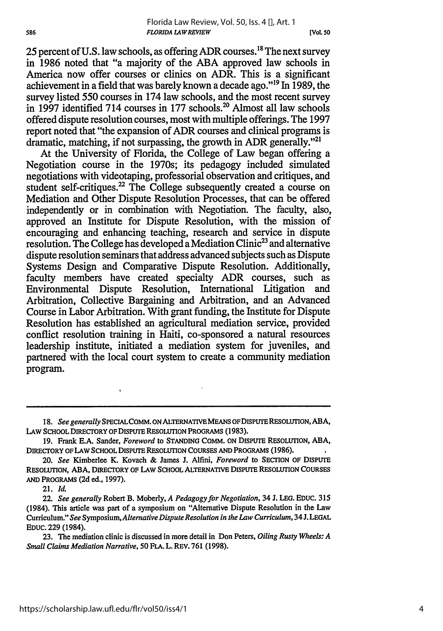25 percent of **U.S.** law schools, as offering ADR courses.18 The next survey in 1986 noted that "a majority of the ABA approved law schools in America now offer courses or clinics on ADR. This is a significant achievement in a field that was barely known a decade ago."<sup>19</sup> In 1989, the survey listed 550 courses in 174 law schools, and the most recent survey in 1997 identified 714 courses in 177 schools.<sup>20</sup> Almost all law schools offered dispute resolution courses, most with multiple offerings. The 1997 report noted that "the expansion of ADR courses and clinical programs is dramatic, matching, if not surpassing, the growth in ADR generally."<sup>21</sup>

At the University of Florida, the College of Law began offering a Negotiation course in the 1970s; its pedagogy included simulated negotiations with videotaping, professorial observation and critiques, and student self-critiques.<sup>22</sup> The College subsequently created a course on Mediation and Other Dispute Resolution Processes, that can be offered independently or in combination with Negotiation. The faculty, also, approved an Institute for Dispute Resolution, with the mission of encouraging and enhancing teaching, research and service in dispute resolution. The College has developed a Mediation Clinic<sup>23</sup> and alternative dispute resolution seminars that address advanced subjects such as Dispute Systems Design and Comparative Dispute Resolution. Additionally, faculty members have created specialty ADR courses, such as Environmental Dispute Resolution, International Litigation and Arbitration, Collective Bargaining and Arbitration, and an Advanced Course in Labor Arbitration. With grant funding, the Institute for Dispute Resolution has established an agricultural mediation service, provided conflict resolution training in Haiti, co-sponsored a natural resources leadership institute, initiated a mediation system for juveniles, and partnered with the local court system to create a community mediation program.

**<sup>18.</sup>** *See generally SPECIALCOMM.* **ON** ALTERNATIVE MEANS *OF DISPUTE* RESOLUTION, **ABA,** LAW **SCHOOL** DIRECTORY OF DISPUTE **RESOLUTION** PROGRAMS **(1983).**

<sup>19.</sup> Frank E.A. Sander, *Foreword* to **STANDING** COMM. **ON** DISPUTE RESOLUTION, **ABA,** DIRECTORY OF LAW SCHOOL DISPUTE **RESOLUTION COURSES AND** PROGRAMS (1986).

*<sup>20.</sup> See* Kimberlee K. Kovach & James **J.** Alfini, *Foreword* to **SECTION** OF **DISPUTE** RESOLUTION, ABA, DIRECTORY OF LAW **SCHOOL** ALTERNATIVE DISPUTE RESOLUTION **COURSES AND** PROGRAMS **(2d** ed., 1997).

<sup>21.</sup> *Id.*

<sup>22.</sup> *See generally* Robert B. Moberly, *A Pedagogy for Negotiation,* 34 J. **LEG. EDUC.** <sup>315</sup> (1984). This article was part of a symposium on "Alternative Dispute Resolution in the Law Curriculum." *See Symposium, Alternative Dispute Resolution in the Law Curriculum,* 34 **.LEGAL** EDUC. 229 (1984).

<sup>23.</sup> The mediation clinic is discussed in more detail in Don Peters, *Oiling Rusty Wheels: A Small Claims Mediation Narrative,* 50 **FLA.** L. REV. 761 (1998).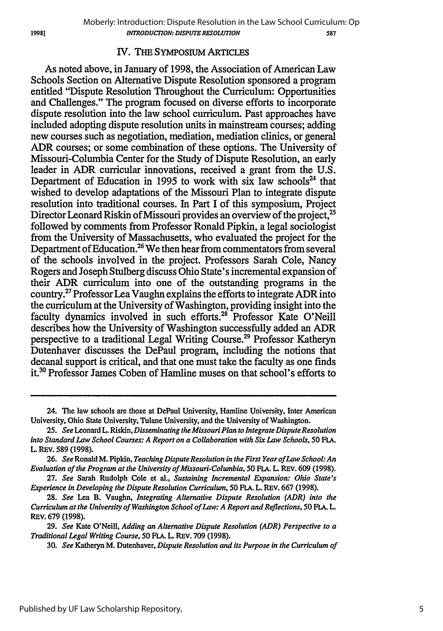#### IV. THE SYMPOSIUM ARTICLES

As noted above, in January of 1998, the Association of American Law Schools Section on Alternative Dispute Resolution sponsored a program entitled "Dispute Resolution Throughout the Curriculum: Opportunities and Challenges." The program focused on diverse efforts to incorporate dispute resolution into the law school curriculum. Past approaches have included adopting dispute resolution units in mainstream courses; adding new courses such as negotiation, mediation, mediation clinics, or general ADR courses; or some combination of these options. The University of Missouri-Columbia Center for the Study of Dispute Resolution, an early leader in ADR curricular innovations, received a grant from the U.S. Department of Education in 1995 to work with six law schools<sup>24</sup> that wished to develop adaptations of the Missouri Plan to integrate dispute resolution into traditional courses. In Part I of this symposium, Project Director Leonard Riskin of Missouri provides an overview of the project,<sup>25</sup> followed by comments from Professor Ronald Pipkin, a legal sociologist from the University of Massachusetts, who evaluated the project for the Department of Education.<sup>26</sup> We then hear from commentators from several of the schools involved in the project. Professors Sarah Cole, Nancy Rogers and Joseph Stulberg discuss Ohio State's incremental expansion of their ADR curriculum into one of the outstanding programs in the country.27 Professor Lea Vaughn explains the efforts to integrate ADR into the curriculum at the University of Washington, providing insight into the faculty dynamics involved in such efforts.<sup>28</sup> Professor Kate O'Neill describes how the University of Washington successfully added an ADR perspective to a traditional Legal Writing Course.29 Professor Katheryn Dutenhaver discusses the DePaul program, including the notions that decanal support is critical, and that one must take the faculty as one finds it.<sup>30</sup> Professor James Coben of Hamline muses on that school's efforts to

**30.** *See* Katheryn M. Dutenhaver, *Dispute Resolution and its Purpose in the Curriculum of*

<sup>24.</sup> The law schools are those at DePaul University, Hamline University, Inter American University, Ohio State University, Tulane University, and the University of Washington.

<sup>25.</sup> *See* Leonard L. Riskin, *Disseminating the Missouri Plan to Integrate Dispute Resolution into Standard Law School Courses: A Report on a Collaboration with Six Law Schools,* 50 **FLA.** L. REV. *589* (1998).

**<sup>26.</sup>** *See* Ronald M. Pipkin, *Teaching Dispute Resolution in the First Year of Law School: An Evaluation of the Program at the University of Missouri-Columbia, 50* **FLA.** L. REV. **609 (1998).**

**<sup>27.</sup>** *See* Sarah Rudolph Cole et al., *Sustaining Incremental Expansion: Ohio State's Experience in Developing the Dispute Resolution Curriculum, 50* **FLA.** L. REV. **667 (1998).**

**<sup>28.</sup>** *See* Lea B. Vaughn, *Integrating Alternative Dispute Resolution (ADR) into the Curriculum at the University of Washington School of Law: A Report and Reflections, 50* **FLA.** L. REv. **679 (1998).**

**<sup>29.</sup>** *See* Kate O'Neill, *Adding an Alternative Dispute Resolution (ADR) Perspective to a Traditional Legal Writing Course, 50* **FLA.** L. REV. **709 (1998).**